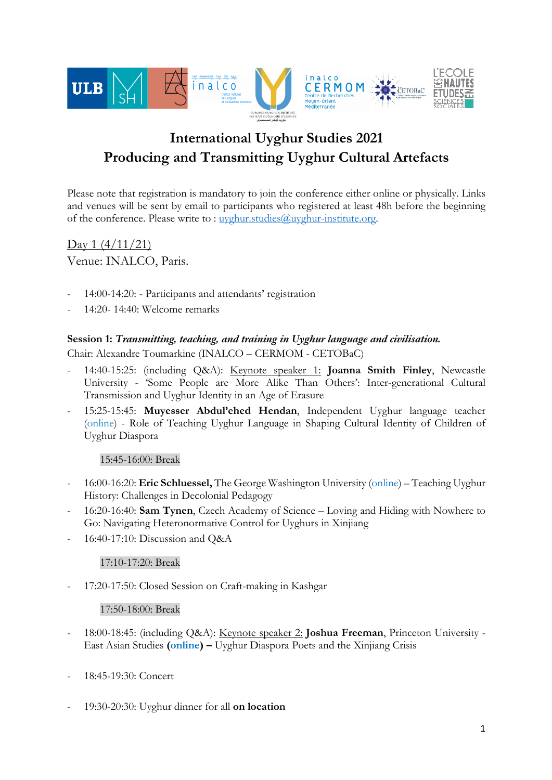

# **International Uyghur Studies 2021 Producing and Transmitting Uyghur Cultural Artefacts**

Please note that registration is mandatory to join the conference either online or physically. Links and venues will be sent by email to participants who registered at least 48h before the beginning of the conference. Please write to : uyghur.studies@uyghur-institute.org.

 $\text{Dav } 1 \left( \frac{4}{11}{21} \right)$ Venue: INALCO, Paris.

- 14:00-14:20: Participants and attendants' registration
- 14:20- 14:40: Welcome remarks

#### **Session 1:** *Transmitting, teaching, and training in Uyghur language and civilisation.*

Chair: Alexandre Toumarkine (INALCO – CERMOM - CETOBaC)

- 14:40-15:25: (including Q&A): Keynote speaker 1: **Joanna Smith Finley**, Newcastle University - 'Some People are More Alike Than Others': Inter-generational Cultural Transmission and Uyghur Identity in an Age of Erasure
- 15:25-15:45: **Muyesser Abdul'ehed Hendan**, Independent Uyghur language teacher (online) - Role of Teaching Uyghur Language in Shaping Cultural Identity of Children of Uyghur Diaspora

# 15:45-16:00: Break

- 16:00-16:20: **Eric Schluessel,** The George Washington University (online) Teaching Uyghur History: Challenges in Decolonial Pedagogy
- 16:20-16:40: **Sam Tynen**, Czech Academy of Science Loving and Hiding with Nowhere to Go: Navigating Heteronormative Control for Uyghurs in Xinjiang
- 16:40-17:10: Discussion and Q&A

17:10-17:20: Break

17:20-17:50: Closed Session on Craft-making in Kashgar

#### 17:50-18:00: Break

- 18:00-18:45: (including Q&A): Keynote speaker 2: **Joshua Freeman**, Princeton University East Asian Studies **(online) –** Uyghur Diaspora Poets and the Xinjiang Crisis
- 18:45-19:30: Concert
- 19:30-20:30: Uyghur dinner for all **on location**